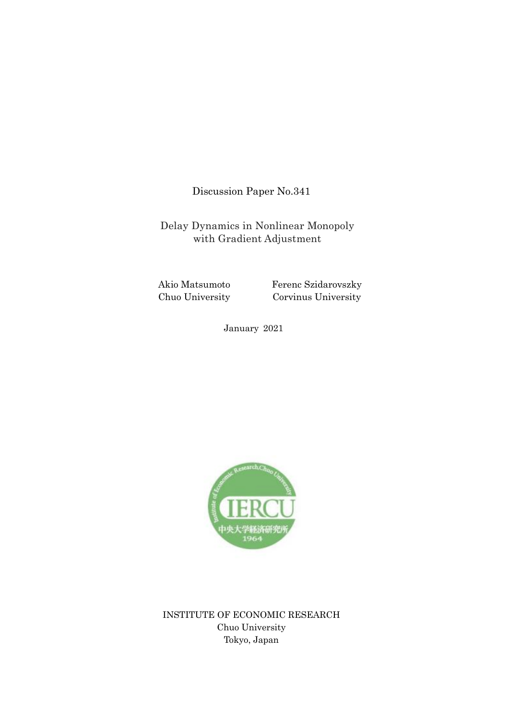Discussion Paper No.341

Delay Dynamics in Nonlinear Monopoly with Gradient Adjustment

Akio Matsumoto Chuo University

Ferenc Szidarovszky Corvinus University

January 2021



INSTITUTE OF ECONOMIC RESEARCH Chuo University Tokyo, Japan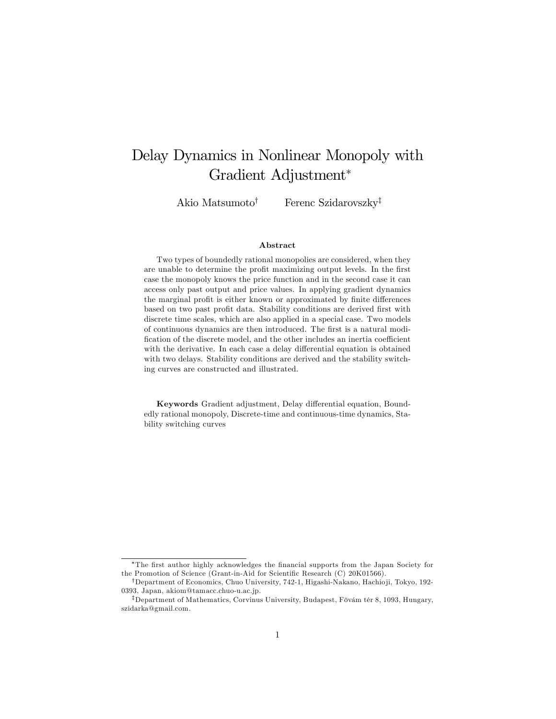# Delay Dynamics in Nonlinear Monopoly with Gradient Adjustment

Akio Matsumoto<sup>†</sup> Ferenc Szidarovszky<sup>‡</sup>

#### Abstract

Two types of boundedly rational monopolies are considered, when they are unable to determine the profit maximizing output levels. In the first case the monopoly knows the price function and in the second case it can access only past output and price values. In applying gradient dynamics the marginal profit is either known or approximated by finite differences based on two past profit data. Stability conditions are derived first with discrete time scales, which are also applied in a special case. Two models of continuous dynamics are then introduced. The first is a natural modification of the discrete model, and the other includes an inertia coefficient with the derivative. In each case a delay differential equation is obtained with two delays. Stability conditions are derived and the stability switching curves are constructed and illustrated.

Keywords Gradient adjustment, Delay differential equation, Boundedly rational monopoly, Discrete-time and continuous-time dynamics, Stability switching curves

The Örst author highly acknowledges the Önancial supports from the Japan Society for the Promotion of Science (Grant-in-Aid for Scientific Research (C) 20K01566).

<sup>&</sup>lt;sup>†</sup>Department of Economics, Chuo University, 742-1, Higashi-Nakano, Hachioji, Tokyo, 192-0393, Japan, akiom@tamacc.chuo-u.ac.jp.

<sup>&</sup>lt;sup>‡</sup>Department of Mathematics, Corvinus University, Budapest, Fövám tér 8, 1093, Hungary, szidarka@gmail.com.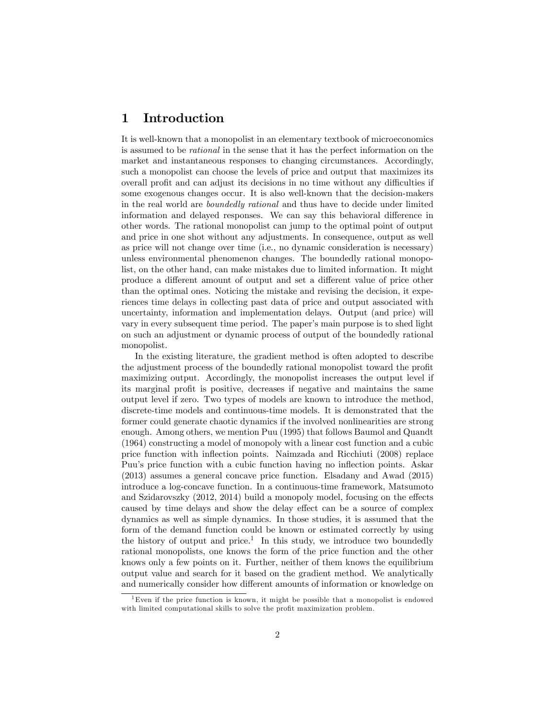# 1 Introduction

It is well-known that a monopolist in an elementary textbook of microeconomics is assumed to be rational in the sense that it has the perfect information on the market and instantaneous responses to changing circumstances. Accordingly, such a monopolist can choose the levels of price and output that maximizes its overall profit and can adjust its decisions in no time without any difficulties if some exogenous changes occur. It is also well-known that the decision-makers in the real world are boundedly rational and thus have to decide under limited information and delayed responses. We can say this behavioral difference in other words. The rational monopolist can jump to the optimal point of output and price in one shot without any adjustments. In consequence, output as well as price will not change over time (i.e., no dynamic consideration is necessary) unless environmental phenomenon changes. The boundedly rational monopolist, on the other hand, can make mistakes due to limited information. It might produce a different amount of output and set a different value of price other than the optimal ones. Noticing the mistake and revising the decision, it experiences time delays in collecting past data of price and output associated with uncertainty, information and implementation delays. Output (and price) will vary in every subsequent time period. The paperís main purpose is to shed light on such an adjustment or dynamic process of output of the boundedly rational monopolist.

In the existing literature, the gradient method is often adopted to describe the adjustment process of the boundedly rational monopolist toward the profit maximizing output. Accordingly, the monopolist increases the output level if its marginal profit is positive, decreases if negative and maintains the same output level if zero. Two types of models are known to introduce the method, discrete-time models and continuous-time models. It is demonstrated that the former could generate chaotic dynamics if the involved nonlinearities are strong enough. Among others, we mention Puu (1995) that follows Baumol and Quandt (1964) constructing a model of monopoly with a linear cost function and a cubic price function with inflection points. Naimzada and Ricchiuti (2008) replace Puu's price function with a cubic function having no inflection points. Askar (2013) assumes a general concave price function. Elsadany and Awad (2015) introduce a log-concave function. In a continuous-time framework, Matsumoto and Szidarovszky  $(2012, 2014)$  build a monopoly model, focusing on the effects caused by time delays and show the delay effect can be a source of complex dynamics as well as simple dynamics. In those studies, it is assumed that the form of the demand function could be known or estimated correctly by using the history of output and price.<sup>1</sup> In this study, we introduce two boundedly rational monopolists, one knows the form of the price function and the other knows only a few points on it. Further, neither of them knows the equilibrium output value and search for it based on the gradient method. We analytically and numerically consider how different amounts of information or knowledge on

<sup>&</sup>lt;sup>1</sup>Even if the price function is known, it might be possible that a monopolist is endowed with limited computational skills to solve the profit maximization problem.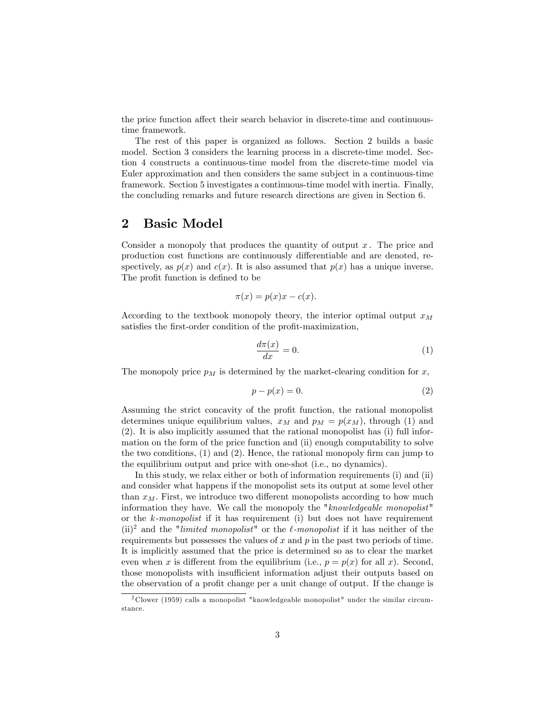the price function affect their search behavior in discrete-time and continuoustime framework.

The rest of this paper is organized as follows. Section 2 builds a basic model. Section 3 considers the learning process in a discrete-time model. Section 4 constructs a continuous-time model from the discrete-time model via Euler approximation and then considers the same subject in a continuous-time framework. Section 5 investigates a continuous-time model with inertia. Finally, the concluding remarks and future research directions are given in Section 6.

## 2 Basic Model

Consider a monopoly that produces the quantity of output  $x$ . The price and production cost functions are continuously differentiable and are denoted, respectively, as  $p(x)$  and  $c(x)$ . It is also assumed that  $p(x)$  has a unique inverse. The profit function is defined to be

$$
\pi(x) = p(x)x - c(x).
$$

According to the textbook monopoly theory, the interior optimal output  $x_M$ satisfies the first-order condition of the profit-maximization,

$$
\frac{d\pi(x)}{dx} = 0.\t\t(1)
$$

The monopoly price  $p_M$  is determined by the market-clearing condition for x,

$$
p - p(x) = 0.\t\t(2)
$$

Assuming the strict concavity of the profit function, the rational monopolist determines unique equilibrium values,  $x_M$  and  $p_M = p(x_M)$ , through (1) and (2). It is also implicitly assumed that the rational monopolist has (i) full information on the form of the price function and (ii) enough computability to solve the two conditions,  $(1)$  and  $(2)$ . Hence, the rational monopoly firm can jump to the equilibrium output and price with one-shot (i.e., no dynamics).

In this study, we relax either or both of information requirements (i) and (ii) and consider what happens if the monopolist sets its output at some level other than  $x_M$ . First, we introduce two different monopolists according to how much information they have. We call the monopoly the "knowledgeable monopolist" or the  $k$ -monopolist if it has requirement (i) but does not have requirement (ii)<sup>2</sup> and the "*limited monopolist*" or the  $\ell$ -monopolist if it has neither of the requirements but possesses the values of  $x$  and  $p$  in the past two periods of time. It is implicitly assumed that the price is determined so as to clear the market even when x is different from the equilibrium (i.e.,  $p = p(x)$  for all x). Second, those monopolists with insufficient information adjust their outputs based on the observation of a profit change per a unit change of output. If the change is

 $2$  Clower (1959) calls a monopolist "knowledgeable monopolist" under the similar circumstance.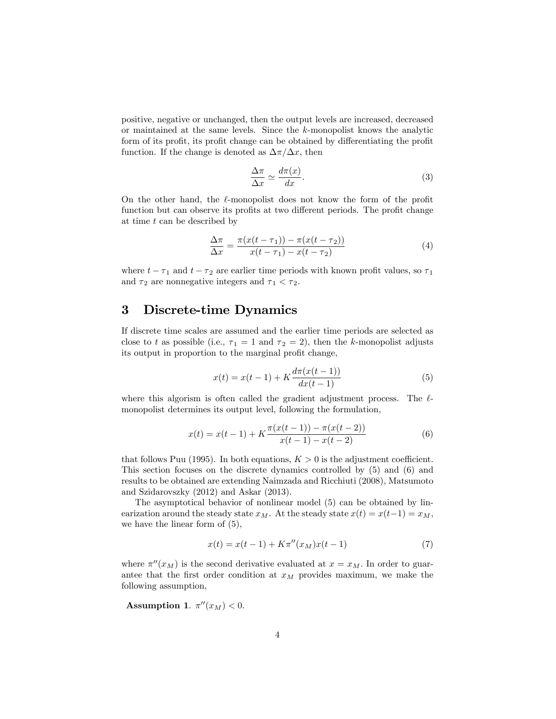positive, negative or unchanged, then the output levels are increased, decreased or maintained at the same levels. Since the k-monopolist knows the analytic form of its profit, its profit change can be obtained by differentiating the profit function. If the change is denoted as  $\Delta \pi / \Delta x$ , then

$$
\frac{\Delta \pi}{\Delta x} \simeq \frac{d\pi(x)}{dx}.
$$
\n(3)

On the other hand, the  $\ell$ -monopolist does not know the form of the profit function but can observe its profits at two different periods. The profit change at time t can be described by

$$
\frac{\Delta \pi}{\Delta x} = \frac{\pi (x(t - \tau_1)) - \pi (x(t - \tau_2))}{x(t - \tau_1) - x(t - \tau_2)}
$$
(4)

where  $t - \tau_1$  and  $t - \tau_2$  are earlier time periods with known profit values, so  $\tau_1$ and  $\tau_2$  are nonnegative integers and  $\tau_1 < \tau_2$ .

### 3 Discrete-time Dynamics

If discrete time scales are assumed and the earlier time periods are selected as close to t as possible (i.e.,  $\tau_1 = 1$  and  $\tau_2 = 2$ ), then the k-monopolist adjusts its output in proportion to the marginal profit change,

$$
x(t) = x(t-1) + K \frac{d\pi(x(t-1))}{dx(t-1)}
$$
\n(5)

where this algorism is often called the gradient adjustment process. The  $\ell$ monopolist determines its output level, following the formulation,

$$
x(t) = x(t-1) + K \frac{\pi(x(t-1)) - \pi(x(t-2))}{x(t-1) - x(t-2)}
$$
(6)

that follows Puu (1995). In both equations,  $K > 0$  is the adjustment coefficient. This section focuses on the discrete dynamics controlled by (5) and (6) and results to be obtained are extending Naimzada and Ricchiuti (2008), Matsumoto and Szidarovszky (2012) and Askar (2013).

The asymptotical behavior of nonlinear model (5) can be obtained by linearization around the steady state  $x_M$ . At the steady state  $x(t) = x(t-1) = x_M$ , we have the linear form of (5),

$$
x(t) = x(t-1) + K\pi''(x_M)x(t-1)
$$
\n(7)

where  $\pi''(x_M)$  is the second derivative evaluated at  $x = x_M$ . In order to guarantee that the first order condition at  $x_M$  provides maximum, we make the following assumption,

Assumption 1.  $\pi''(x_M) < 0$ .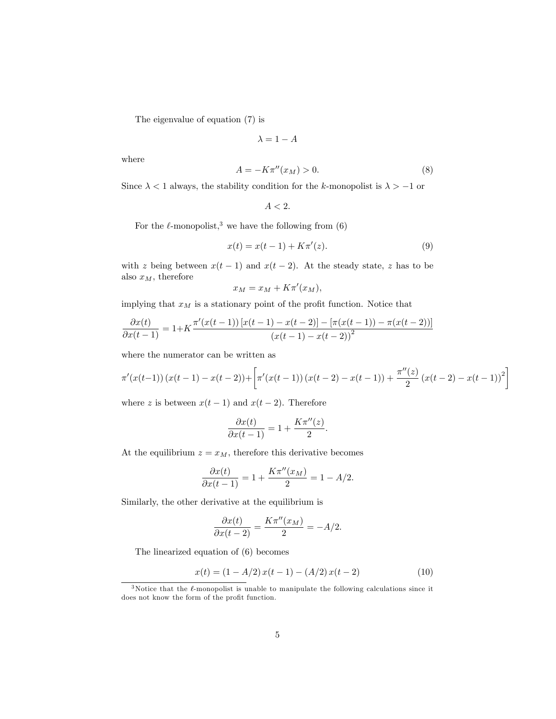The eigenvalue of equation (7) is

$$
\lambda = 1 - A
$$

where

$$
A = -K\pi''(x_M) > 0.
$$
\n<sup>(8)</sup>

Since  $\lambda < 1$  always, the stability condition for the k-monopolist is  $\lambda > -1$  or

$$
A < 2.
$$

For the  $\ell$ -monopolist,<sup>3</sup> we have the following from (6)

$$
x(t) = x(t-1) + K\pi'(z).
$$
 (9)

with z being between  $x(t-1)$  and  $x(t-2)$ . At the steady state, z has to be also  $x_M$ , therefore

$$
x_M = x_M + K\pi'(x_M),
$$

implying that  $x_M$  is a stationary point of the profit function. Notice that

$$
\frac{\partial x(t)}{\partial x(t-1)} = 1 + K \frac{\pi'(x(t-1)) [x(t-1) - x(t-2)] - [\pi(x(t-1)) - \pi(x(t-2))]}{(x(t-1) - x(t-2))^2}
$$

where the numerator can be written as

$$
\pi'(x(t-1)) (x(t-1) - x(t-2)) + \left[ \pi'(x(t-1)) (x(t-2) - x(t-1)) + \frac{\pi''(z)}{2} (x(t-2) - x(t-1))^2 \right]
$$

where z is between  $x(t-1)$  and  $x(t-2)$ . Therefore

$$
\frac{\partial x(t)}{\partial x(t-1)} = 1 + \frac{K\pi''(z)}{2}.
$$

At the equilibrium  $z = x_M$ , therefore this derivative becomes

$$
\frac{\partial x(t)}{\partial x(t-1)} = 1 + \frac{K\pi''(x_M)}{2} = 1 - A/2.
$$

Similarly, the other derivative at the equilibrium is

$$
\frac{\partial x(t)}{\partial x(t-2)} = \frac{K\pi''(x_M)}{2} = -A/2.
$$

The linearized equation of (6) becomes

$$
x(t) = (1 - A/2)x(t - 1) - (A/2)x(t - 2)
$$
\n(10)

 $3$ Notice that the  $\ell$ -monopolist is unable to manipulate the following calculations since it does not know the form of the profit function.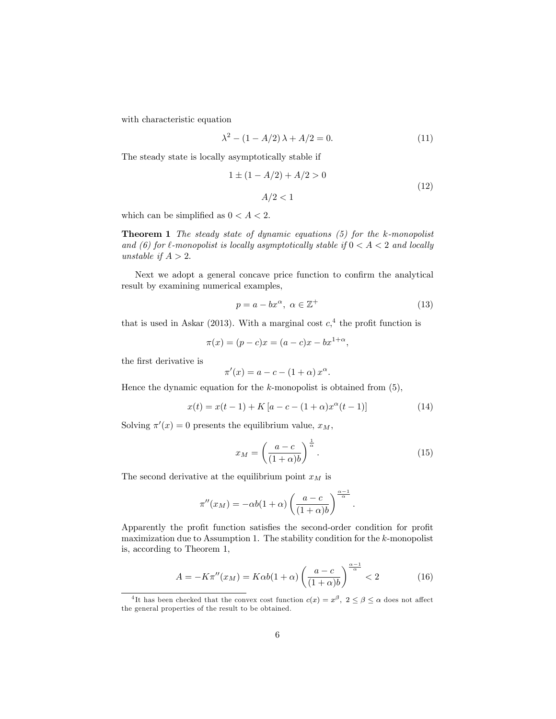with characteristic equation

$$
\lambda^2 - (1 - A/2)\lambda + A/2 = 0.
$$
 (11)

The steady state is locally asymptotically stable if

$$
1 \pm (1 - A/2) + A/2 > 0
$$
  
 
$$
A/2 < 1
$$
 (12)

which can be simplified as  $0 < A < 2$ .

**Theorem 1** The steady state of dynamic equations  $(5)$  for the k-monopolist and (6) for  $\ell$ -monopolist is locally asymptotically stable if  $0 < A < 2$  and locally unstable if  $A > 2$ .

Next we adopt a general concave price function to confirm the analytical result by examining numerical examples,

$$
p = a - bx^{\alpha}, \ \alpha \in \mathbb{Z}^+ \tag{13}
$$

that is used in Askar (2013). With a marginal cost  $c<sub>1</sub><sup>4</sup>$  the profit function is

$$
\pi(x) = (p - c)x = (a - c)x - bx^{1 + \alpha},
$$

the first derivative is

$$
\pi'(x) = a - c - (1 + \alpha) x^{\alpha}.
$$

Hence the dynamic equation for the  $k$ -monopolist is obtained from  $(5)$ ,

$$
x(t) = x(t-1) + K[a - c - (1+\alpha)x^{\alpha}(t-1)]
$$
\n(14)

Solving  $\pi'(x) = 0$  presents the equilibrium value,  $x_M$ ,

$$
x_M = \left(\frac{a-c}{(1+\alpha)b}\right)^{\frac{1}{\alpha}}.\tag{15}
$$

:

The second derivative at the equilibrium point  $x_M$  is

$$
\pi''(x_M) = -\alpha b(1+\alpha) \left(\frac{a-c}{(1+\alpha)b}\right)^{\frac{\alpha-1}{\alpha}}
$$

Apparently the profit function satisfies the second-order condition for profit maximization due to Assumption 1. The stability condition for the  $k$ -monopolist is, according to Theorem 1,

$$
A = -K\pi''(x_M) = K\alpha b(1+\alpha) \left(\frac{a-c}{(1+\alpha)b}\right)^{\frac{\alpha-1}{\alpha}} < 2\tag{16}
$$

<sup>&</sup>lt;sup>4</sup>It has been checked that the convex cost function  $c(x) = x^{\beta}$ ,  $2 \le \beta \le \alpha$  does not affect the general properties of the result to be obtained.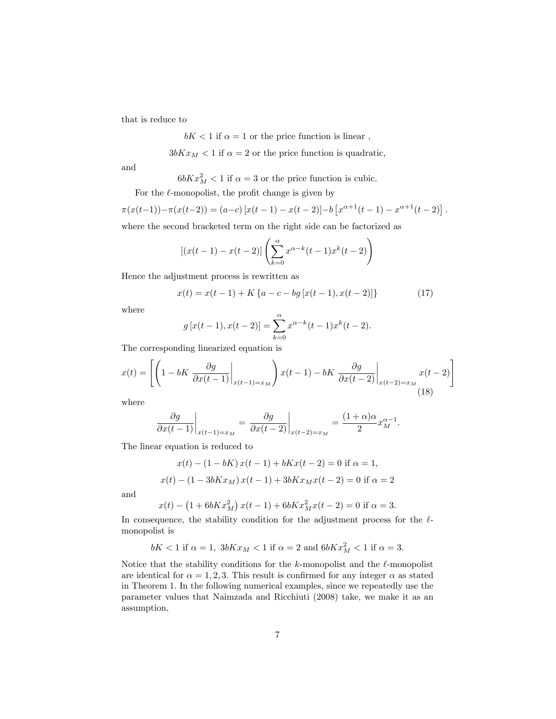that is reduce to

$$
bK < 1
$$
 if  $\alpha = 1$  or the price function is linear,

 $3bKx_M < 1$  if  $\alpha = 2$  or the price function is quadratic,

and

 $6bKx_M^2 < 1$  if  $\alpha = 3$  or the price function is cubic.

For the  $\ell$ -monopolist, the profit change is given by

$$
\pi(x(t-1)) - \pi(x(t-2)) = (a-c) [x(t-1) - x(t-2)] - b [x^{\alpha+1}(t-1) - x^{\alpha+1}(t-2)].
$$

where the second bracketed term on the right side can be factorized as

$$
[(x(t-1) - x(t-2)] \left( \sum_{k=0}^{\alpha} x^{\alpha-k}(t-1)x^{k}(t-2) \right)
$$

Hence the adjustment process is rewritten as

$$
x(t) = x(t-1) + K\left\{a - c - bg\left[x(t-1), x(t-2)\right]\right\}
$$
 (17)

where

$$
g[x(t-1), x(t-2)] = \sum_{k=0}^{\alpha} x^{\alpha-k}(t-1)x^{k}(t-2).
$$

The corresponding linearized equation is

$$
x(t) = \left[ \left( 1 - bK \frac{\partial g}{\partial x(t-1)} \bigg|_{x(t-1) = x_M} \right) x(t-1) - bK \frac{\partial g}{\partial x(t-2)} \bigg|_{x(t-2) = x_M} x(t-2) \right]
$$
\n(18)

where

$$
\frac{\partial g}{\partial x(t-1)}\bigg|_{x(t-1)=x_M} = \frac{\partial g}{\partial x(t-2)}\bigg|_{x(t-2)=x_M} = \frac{(1+\alpha)\alpha}{2}x_M^{\alpha-1}.
$$

The linear equation is reduced to

$$
x(t) - (1 - bK) x(t - 1) + bKx(t - 2) = 0 \text{ if } \alpha = 1,
$$
  

$$
x(t) - (1 - 3bKx_M) x(t - 1) + 3bKx_Mx(t - 2) = 0 \text{ if } \alpha = 2
$$

and

$$
x(t) - (1 + 6bKx_M^2) x(t-1) + 6bKx_M^2 x(t-2) = 0
$$
 if  $\alpha = 3$ .

In consequence, the stability condition for the adjustment process for the  $\ell$ monopolist is

$$
bK<1 \text{ if } \alpha=1, \ 3bKx_M<1 \text{ if } \alpha=2 \text{ and } 6bKx_M^2<1 \text{ if } \alpha=3.
$$

Notice that the stability conditions for the  $k$ -monopolist and the  $\ell$ -monopolist are identical for  $\alpha = 1, 2, 3$ . This result is confirmed for any integer  $\alpha$  as stated in Theorem 1. In the following numerical examples, since we repeatedly use the parameter values that Naimzada and Ricchiuti (2008) take, we make it as an assumption,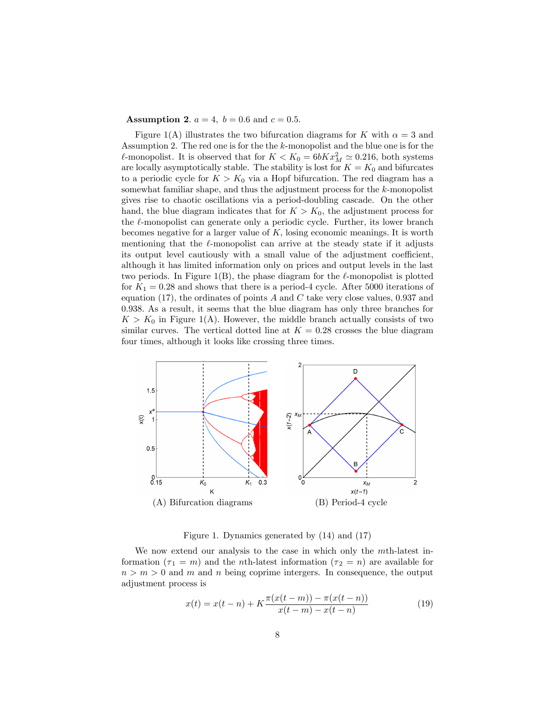**Assumption 2.**  $a = 4$ ,  $b = 0.6$  and  $c = 0.5$ .

Figure 1(A) illustrates the two bifurcation diagrams for K with  $\alpha = 3$  and Assumption 2. The red one is for the the k-monopolist and the blue one is for the  $\ell$ -monopolist. It is observed that for  $K < K_0 = 6bKx_M^2 \simeq 0.216$ , both systems are locally asymptotically stable. The stability is lost for  $K = K_0$  and bifurcates to a periodic cycle for  $K > K_0$  via a Hopf bifurcation. The red diagram has a somewhat familiar shape, and thus the adjustment process for the k-monopolist gives rise to chaotic oscillations via a period-doubling cascade. On the other hand, the blue diagram indicates that for  $K > K_0$ , the adjustment process for the  $\ell$ -monopolist can generate only a periodic cycle. Further, its lower branch becomes negative for a larger value of  $K$ , losing economic meanings. It is worth mentioning that the  $\ell$ -monopolist can arrive at the steady state if it adjusts its output level cautiously with a small value of the adjustment coefficient, although it has limited information only on prices and output levels in the last two periods. In Figure 1(B), the phase diagram for the  $\ell$ -monopolist is plotted for  $K_1 = 0.28$  and shows that there is a period-4 cycle. After 5000 iterations of equation (17), the ordinates of points  $A$  and  $C$  take very close values, 0.937 and 0:938. As a result, it seems that the blue diagram has only three branches for  $K > K_0$  in Figure 1(A). However, the middle branch actually consists of two similar curves. The vertical dotted line at  $K = 0.28$  crosses the blue diagram four times, although it looks like crossing three times.



Figure 1. Dynamics generated by (14) and (17)

We now extend our analysis to the case in which only the mth-latest information  $(\tau_1 = m)$  and the *n*th-latest information  $(\tau_2 = n)$  are available for  $n > m > 0$  and m and n being coprime intergers. In consequence, the output adjustment process is

$$
x(t) = x(t - n) + K \frac{\pi(x(t - m)) - \pi(x(t - n))}{x(t - m) - x(t - n)}
$$
(19)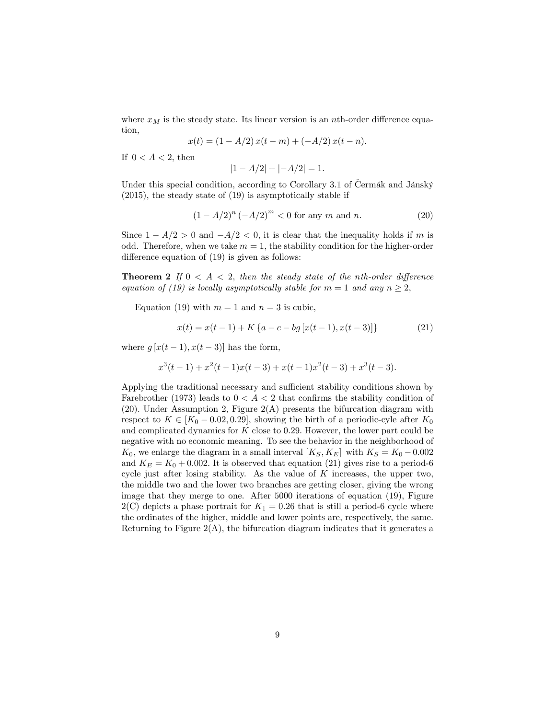where  $x_M$  is the steady state. Its linear version is an nth-order difference equation,

$$
x(t) = (1 - A/2) x(t - m) + (-A/2) x(t - n).
$$

If  $0 < A < 2$ , then

$$
|1 - A/2| + |-A/2| = 1.
$$

Under this special condition, according to Corollary 3.1 of Čermák and Jánský (2015), the steady state of (19) is asymptotically stable if

$$
(1 - A/2)^n (-A/2)^m < 0 \text{ for any } m \text{ and } n. \tag{20}
$$

Since  $1 - A/2 > 0$  and  $-A/2 < 0$ , it is clear that the inequality holds if m is odd. Therefore, when we take  $m = 1$ , the stability condition for the higher-order difference equation of  $(19)$  is given as follows:

**Theorem 2** If  $0 < A < 2$ , then the steady state of the nth-order difference equation of (19) is locally asymptotically stable for  $m = 1$  and any  $n \geq 2$ ,

Equation (19) with  $m = 1$  and  $n = 3$  is cubic,

$$
x(t) = x(t-1) + K\{a - c - bg[x(t-1), x(t-3)]\}
$$
 (21)

where  $g[x(t-1), x(t-3)]$  has the form,

$$
x^{3}(t-1) + x^{2}(t-1)x(t-3) + x(t-1)x^{2}(t-3) + x^{3}(t-3).
$$

Applying the traditional necessary and sufficient stability conditions shown by Farebrother (1973) leads to  $0 < A < 2$  that confirms the stability condition of (20). Under Assumption 2, Figure 2(A) presents the bifurcation diagram with respect to  $K \in [K_0 - 0.02, 0.29]$ , showing the birth of a periodic-cyle after  $K_0$ and complicated dynamics for  $K$  close to 0.29. However, the lower part could be negative with no economic meaning. To see the behavior in the neighborhood of  $K_0$ , we enlarge the diagram in a small interval  $[K_S, K_E]$  with  $K_S = K_0 - 0.002$ and  $K_E = K_0 + 0.002$ . It is observed that equation (21) gives rise to a period-6 cycle just after losing stability. As the value of  $K$  increases, the upper two, the middle two and the lower two branches are getting closer, giving the wrong image that they merge to one. After 5000 iterations of equation (19), Figure  $2(C)$  depicts a phase portrait for  $K_1 = 0.26$  that is still a period-6 cycle where the ordinates of the higher, middle and lower points are, respectively, the same. Returning to Figure  $2(A)$ , the bifurcation diagram indicates that it generates a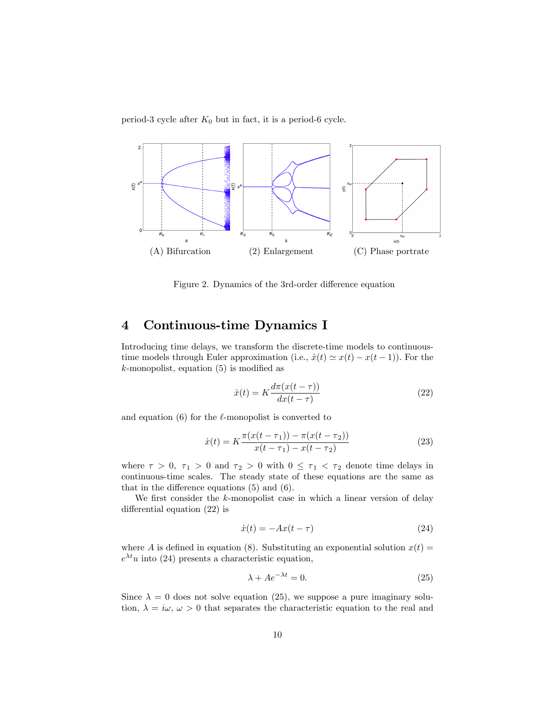period-3 cycle after  $K_0$  but in fact, it is a period-6 cycle.



Figure 2. Dynamics of the 3rd-order difference equation

# 4 Continuous-time Dynamics I

Introducing time delays, we transform the discrete-time models to continuoustime models through Euler approximation (i.e.,  $\dot{x}(t) \simeq x(t) - x(t - 1)$ ). For the  $k$ -monopolist, equation (5) is modified as

$$
\dot{x}(t) = K \frac{d\pi(x(t-\tau))}{dx(t-\tau)}
$$
\n(22)

and equation  $(6)$  for the  $\ell$ -monopolist is converted to

$$
\dot{x}(t) = K \frac{\pi(x(t-\tau_1)) - \pi(x(t-\tau_2))}{x(t-\tau_1) - x(t-\tau_2)}
$$
\n(23)

where  $\tau > 0$ ,  $\tau_1 > 0$  and  $\tau_2 > 0$  with  $0 \leq \tau_1 < \tau_2$  denote time delays in continuous-time scales. The steady state of these equations are the same as that in the difference equations  $(5)$  and  $(6)$ .

We first consider the  $k$ -monopolist case in which a linear version of delay differential equation  $(22)$  is

$$
\dot{x}(t) = -Ax(t - \tau) \tag{24}
$$

where A is defined in equation (8). Substituting an exponential solution  $x(t) =$  $e^{\lambda t}u$  into (24) presents a characteristic equation,

$$
\lambda + Ae^{-\lambda t} = 0. \tag{25}
$$

Since  $\lambda = 0$  does not solve equation (25), we suppose a pure imaginary solution,  $\lambda = i\omega, \omega > 0$  that separates the characteristic equation to the real and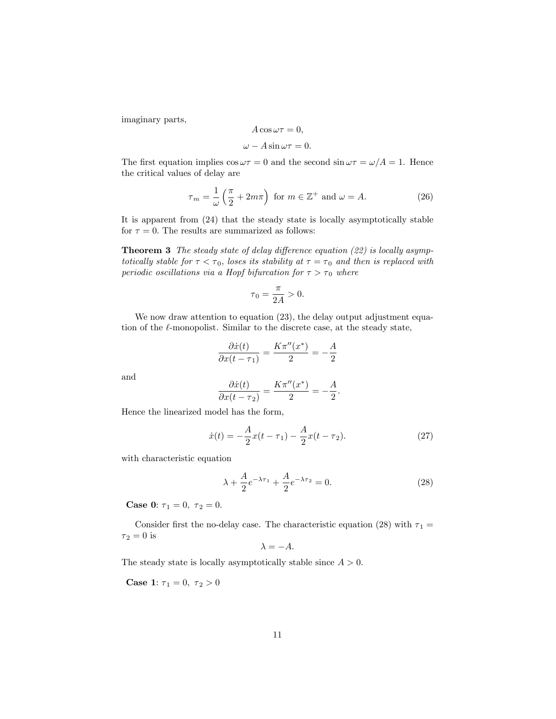imaginary parts,

$$
A\cos\omega\tau=0,
$$

$$
\omega - A\sin \omega \tau = 0.
$$

The first equation implies  $\cos \omega \tau = 0$  and the second  $\sin \omega \tau = \omega/A = 1$ . Hence the critical values of delay are

$$
\tau_m = \frac{1}{\omega} \left( \frac{\pi}{2} + 2m\pi \right) \text{ for } m \in \mathbb{Z}^+ \text{ and } \omega = A. \tag{26}
$$

It is apparent from (24) that the steady state is locally asymptotically stable for  $\tau = 0$ . The results are summarized as follows:

**Theorem 3** The steady state of delay difference equation  $(22)$  is locally asymptotically stable for  $\tau < \tau_0$ , loses its stability at  $\tau = \tau_0$  and then is replaced with periodic oscillations via a Hopf bifurcation for  $\tau > \tau_0$  where

$$
\tau_0 = \frac{\pi}{2A} > 0.
$$

We now draw attention to equation  $(23)$ , the delay output adjustment equation of the  $\ell$ -monopolist. Similar to the discrete case, at the steady state,

$$
\frac{\partial \dot{x}(t)}{\partial x(t-\tau_1)} = \frac{K\pi''(x^*)}{2} = -\frac{A}{2}
$$

and

$$
\frac{\partial \dot{x}(t)}{\partial x(t-\tau_2)} = \frac{K\pi''(x^*)}{2} = -\frac{A}{2}.
$$

Hence the linearized model has the form,

$$
\dot{x}(t) = -\frac{A}{2}x(t - \tau_1) - \frac{A}{2}x(t - \tau_2). \tag{27}
$$

with characteristic equation

$$
\lambda + \frac{A}{2}e^{-\lambda \tau_1} + \frac{A}{2}e^{-\lambda \tau_2} = 0.
$$
 (28)

**Case 0:**  $\tau_1 = 0, \ \tau_2 = 0.$ 

Consider first the no-delay case. The characteristic equation (28) with  $\tau_1 =$  $\tau_2=0$  is

$$
\lambda = -A.
$$

The steady state is locally asymptotically stable since  $A > 0$ .

**Case 1:**  $\tau_1 = 0, \ \tau_2 > 0$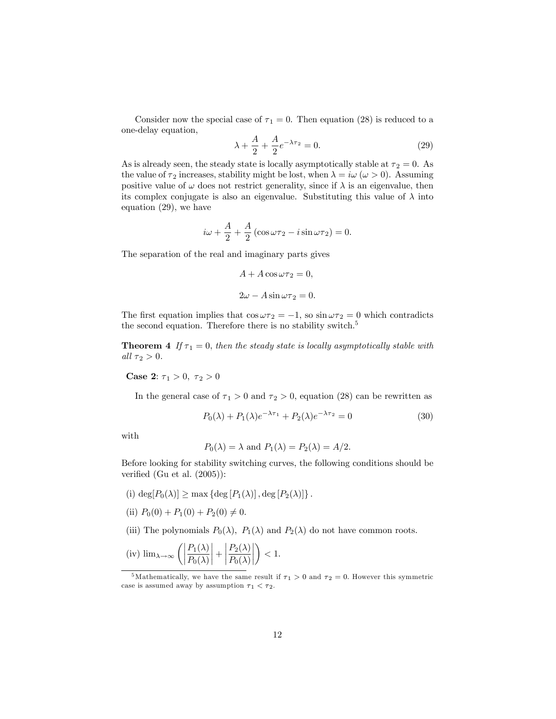Consider now the special case of  $\tau_1 = 0$ . Then equation (28) is reduced to a one-delay equation,

$$
\lambda + \frac{A}{2} + \frac{A}{2}e^{-\lambda \tau_2} = 0.
$$
 (29)

As is already seen, the steady state is locally asymptotically stable at  $\tau_2 = 0$ . As the value of  $\tau_2$  increases, stability might be lost, when  $\lambda = i\omega \ (\omega > 0)$ . Assuming positive value of  $\omega$  does not restrict generality, since if  $\lambda$  is an eigenvalue, then its complex conjugate is also an eigenvalue. Substituting this value of  $\lambda$  into equation (29), we have

$$
i\omega + \frac{A}{2} + \frac{A}{2} (\cos \omega \tau_2 - i \sin \omega \tau_2) = 0.
$$

The separation of the real and imaginary parts gives

$$
A + A \cos \omega \tau_2 = 0,
$$
  

$$
2\omega - A \sin \omega \tau_2 = 0.
$$

The first equation implies that  $\cos \omega \tau_2 = -1$ , so  $\sin \omega \tau_2 = 0$  which contradicts the second equation. Therefore there is no stability switch.<sup>5</sup>

**Theorem 4** If  $\tau_1 = 0$ , then the steady state is locally asymptotically stable with all  $\tau_2 > 0$ .

**Case 2:**  $\tau_1 > 0$ ,  $\tau_2 > 0$ 

In the general case of  $\tau_1 > 0$  and  $\tau_2 > 0$ , equation (28) can be rewritten as

$$
P_0(\lambda) + P_1(\lambda)e^{-\lambda \tau_1} + P_2(\lambda)e^{-\lambda \tau_2} = 0
$$
\n(30)

with

$$
P_0(\lambda) = \lambda
$$
 and  $P_1(\lambda) = P_2(\lambda) = A/2$ .

Before looking for stability switching curves, the following conditions should be verified (Gu et al.  $(2005)$ ):

- (i)  $\deg[P_0(\lambda)] \ge \max \{ \deg[P_1(\lambda)] , \deg[P_2(\lambda)] \}.$
- (ii)  $P_0(0) + P_1(0) + P_2(0) \neq 0.$
- (iii) The polynomials  $P_0(\lambda)$ ,  $P_1(\lambda)$  and  $P_2(\lambda)$  do not have common roots.

(iv) 
$$
\lim_{\lambda \to \infty} \left( \left| \frac{P_1(\lambda)}{P_0(\lambda)} \right| + \left| \frac{P_2(\lambda)}{P_0(\lambda)} \right| \right) < 1.
$$

<sup>&</sup>lt;sup>5</sup>Mathematically, we have the same result if  $\tau_1 > 0$  and  $\tau_2 = 0$ . However this symmetric case is assumed away by assumption  $\tau_1 < \tau_2$ .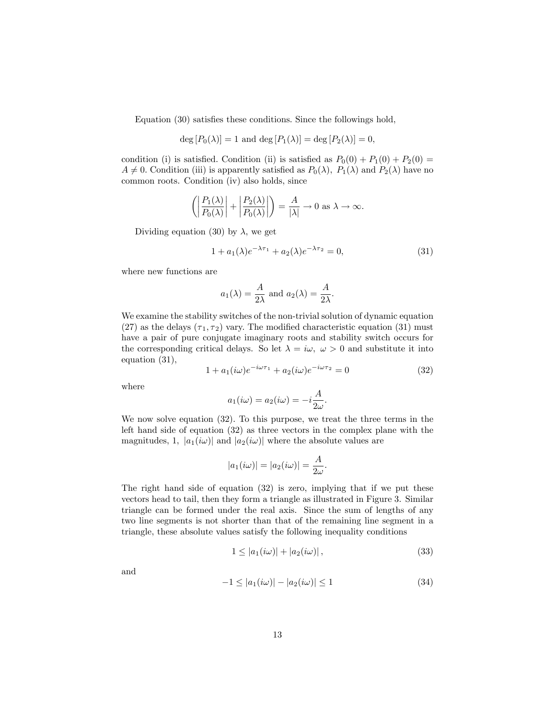Equation  $(30)$  satisfies these conditions. Since the followings hold,

$$
\deg [P_0(\lambda)] = 1
$$
 and 
$$
\deg [P_1(\lambda)] = \deg [P_2(\lambda)] = 0,
$$

condition (i) is satisfied. Condition (ii) is satisfied as  $P_0(0) + P_1(0) + P_2(0) =$  $A \neq 0$ . Condition (iii) is apparently satisfied as  $P_0(\lambda)$ ,  $P_1(\lambda)$  and  $P_2(\lambda)$  have no common roots. Condition (iv) also holds, since

$$
\left( \left| \frac{P_1(\lambda)}{P_0(\lambda)} \right| + \left| \frac{P_2(\lambda)}{P_0(\lambda)} \right| \right) = \frac{A}{|\lambda|} \to 0 \text{ as } \lambda \to \infty.
$$

Dividing equation (30) by  $\lambda$ , we get

$$
1 + a_1(\lambda)e^{-\lambda \tau_1} + a_2(\lambda)e^{-\lambda \tau_2} = 0,
$$
\n(31)

where new functions are

$$
a_1(\lambda) = \frac{A}{2\lambda}
$$
 and  $a_2(\lambda) = \frac{A}{2\lambda}$ .

We examine the stability switches of the non-trivial solution of dynamic equation (27) as the delays  $(\tau_1, \tau_2)$  vary. The modified characteristic equation (31) must have a pair of pure conjugate imaginary roots and stability switch occurs for the corresponding critical delays. So let  $\lambda = i\omega, \ \omega > 0$  and substitute it into equation (31),

$$
1 + a_1(i\omega)e^{-i\omega\tau_1} + a_2(i\omega)e^{-i\omega\tau_2} = 0
$$
\n(32)

where

$$
a_1(i\omega) = a_2(i\omega) = -i\frac{A}{2\omega}.
$$

We now solve equation (32). To this purpose, we treat the three terms in the left hand side of equation (32) as three vectors in the complex plane with the magnitudes, 1,  $|a_1(i\omega)|$  and  $|a_2(i\omega)|$  where the absolute values are

$$
|a_1(i\omega)| = |a_2(i\omega)| = \frac{A}{2\omega}
$$

The right hand side of equation (32) is zero, implying that if we put these vectors head to tail, then they form a triangle as illustrated in Figure 3. Similar triangle can be formed under the real axis. Since the sum of lengths of any two line segments is not shorter than that of the remaining line segment in a triangle, these absolute values satisfy the following inequality conditions

$$
1 \le |a_1(i\omega)| + |a_2(i\omega)|,\tag{33}
$$

:

and

$$
-1 \le |a_1(i\omega)| - |a_2(i\omega)| \le 1 \tag{34}
$$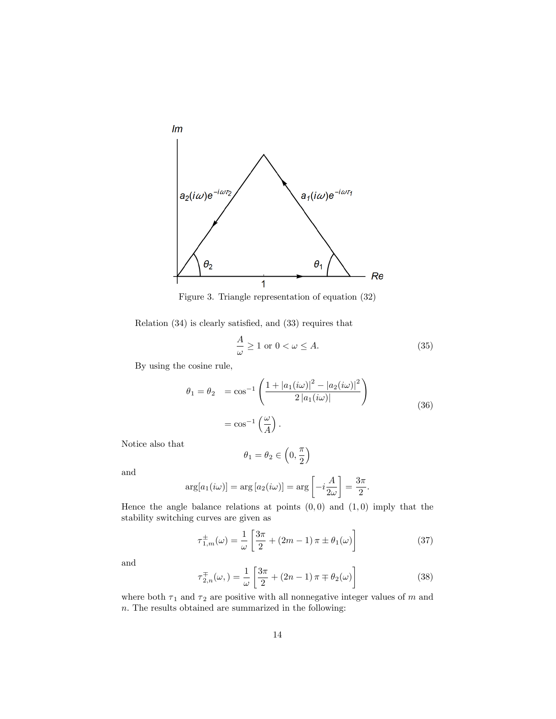

Figure 3. Triangle representation of equation (32)

Relation  $(34)$  is clearly satisfied, and  $(33)$  requires that

$$
\frac{A}{\omega} \ge 1 \text{ or } 0 < \omega \le A. \tag{35}
$$

By using the cosine rule,

$$
\theta_1 = \theta_2 = \cos^{-1} \left( \frac{1 + |a_1(i\omega)|^2 - |a_2(i\omega)|^2}{2 |a_1(i\omega)|} \right)
$$
  
=  $\cos^{-1} \left( \frac{\omega}{A} \right).$  (36)

Notice also that

$$
\theta_1=\theta_2\in\left(0,\frac{\pi}{2}\right)
$$

and

$$
\arg[a_1(i\omega)] = \arg[a_2(i\omega)] = \arg\left[-i\frac{A}{2\omega}\right] = \frac{3\pi}{2}.
$$

Hence the angle balance relations at points  $(0,0)$  and  $(1,0)$  imply that the stability switching curves are given as

$$
\tau_{1,m}^{\pm}(\omega) = \frac{1}{\omega} \left[ \frac{3\pi}{2} + (2m - 1)\pi \pm \theta_1(\omega) \right] \tag{37}
$$

and

$$
\tau_{2,n}^{\mp}(\omega,)=\frac{1}{\omega}\left[\frac{3\pi}{2}+(2n-1)\,\pi\mp\theta_2(\omega)\right]
$$
\n(38)

where both  $\tau_1$  and  $\tau_2$  are positive with all nonnegative integer values of m and  $n.$  The results obtained are summarized in the following: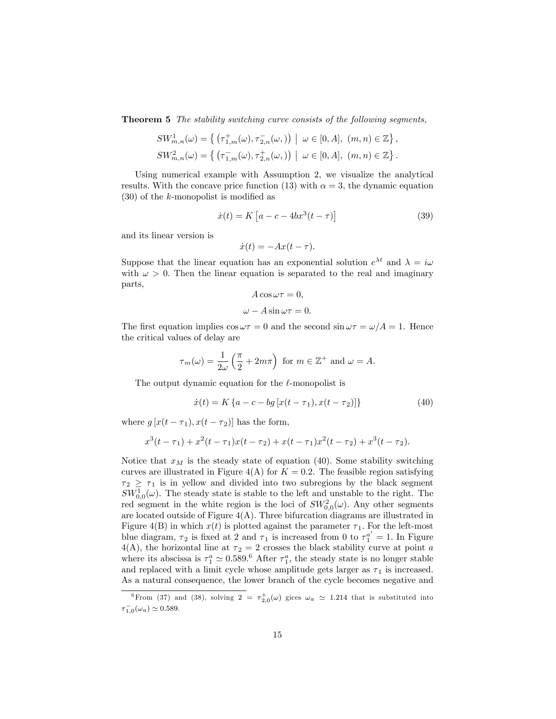**Theorem 5** The stability switching curve consists of the following segments,

$$
\begin{split} SW_{m,n}^1(\omega) &= \left\{ \left. \left( \tau_{1,m}^+(\omega), \tau_{2,n}^-(\omega,) \right) \ \right| \ \omega \in [0,A], \ (m,n) \in \mathbb{Z} \right\}, \\ SW_{m,n}^2(\omega) &= \left\{ \left. \left( \tau_{1,m}^-(\omega), \tau_{2,n}^+(\omega,) \right) \ \right| \ \omega \in [0,A], \ (m,n) \in \mathbb{Z} \right\}. \end{split}
$$

Using numerical example with Assumption 2, we visualize the analytical results. With the concave price function (13) with  $\alpha = 3$ , the dynamic equation  $(30)$  of the k-monopolist is modified as

$$
\dot{x}(t) = K \left[ a - c - 4bx^3(t - \tau) \right]
$$
 (39)

and its linear version is

$$
\dot{x}(t) = -Ax(t - \tau).
$$

Suppose that the linear equation has an exponential solution  $e^{\lambda t}$  and  $\lambda = i\omega$ with  $\omega > 0$ . Then the linear equation is separated to the real and imaginary parts,

$$
A\cos\omega\tau=0,
$$

$$
\omega - A\sin \omega \tau = 0.
$$

The first equation implies  $\cos \omega \tau = 0$  and the second  $\sin \omega \tau = \omega/A = 1$ . Hence the critical values of delay are

$$
\tau_m(\omega) = \frac{1}{2\omega} \left( \frac{\pi}{2} + 2m\pi \right)
$$
 for  $m \in \mathbb{Z}^+$  and  $\omega = A$ .

The output dynamic equation for the  $\ell$ -monopolist is

$$
\dot{x}(t) = K\left\{a - c - bg\left[x(t - \tau_1), x(t - \tau_2)\right]\right\}
$$
\n(40)

where  $g[x(t - \tau_1), x(t - \tau_2)]$  has the form,

$$
x^{3}(t-\tau_{1})+x^{2}(t-\tau_{1})x(t-\tau_{2})+x(t-\tau_{1})x^{2}(t-\tau_{2})+x^{3}(t-\tau_{2}).
$$

Notice that  $x_M$  is the steady state of equation (40). Some stability switching curves are illustrated in Figure 4(A) for  $K = 0.2$ . The feasible region satisfying  $\tau_2 \geq \tau_1$  is in yellow and divided into two subregions by the black segment  $SW_{0,0}^1(\omega)$ . The steady state is stable to the left and unstable to the right. The red segment in the white region is the loci of  $SW_{0,0}^2(\omega)$ . Any other segments are located outside of Figure  $4(A)$ . Three bifurcation diagrams are illustrated in Figure 4(B) in which  $x(t)$  is plotted against the parameter  $\tau_1$ . For the left-most blue diagram,  $\tau_2$  is fixed at 2 and  $\tau_1$  is increased from 0 to  $\tau_1^{a'} = 1$ . In Figure  $4(A)$ , the horizontal line at  $\tau_2 = 2$  crosses the black stability curve at point a where its abscissa is  $\tau_1^a \simeq 0.589$ .<sup>6</sup> After  $\tau_1^a$ , the steady state is no longer stable and replaced with a limit cycle whose amplitude gets larger as  $\tau_1$  is increased. As a natural consequence, the lower branch of the cycle becomes negative and

<sup>&</sup>lt;sup>6</sup>From (37) and (38), solving  $2 = \tau_{2,0}^{+}(\omega)$  gices  $\omega_a \simeq 1.214$  that is substituted into  $\tau_{1,0}^-(\omega_a) \simeq 0.589.$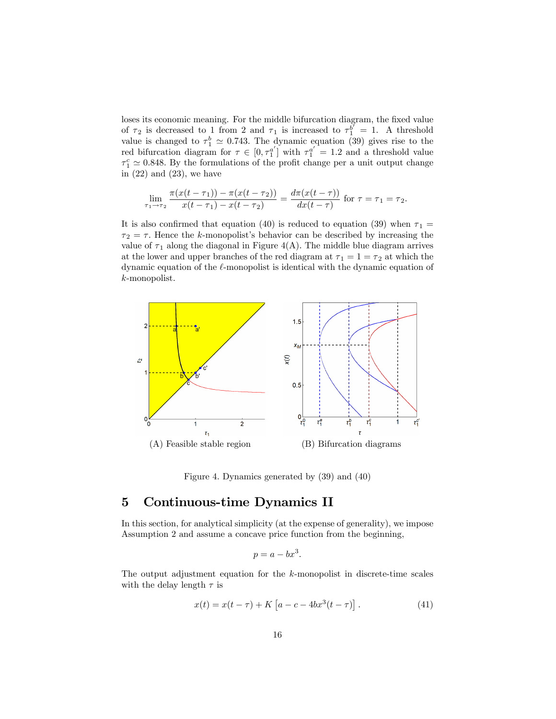loses its economic meaning. For the middle bifurcation diagram, the fixed value of  $\tau_2$  is decreased to 1 from 2 and  $\tau_1$  is increased to  $\tau_1^{b'} = 1$ . A threshold value is changed to  $\tau_1^b \simeq 0.743$ . The dynamic equation (39) gives rise to the red bifurcation diagram for  $\tau \in [0, \tau_1^{a'}]$  with  $\tau_1^{a'} = 1.2$  and a threshold value  $\tau_1^c \simeq 0.848.$  By the formulations of the profit change per a unit output change in  $(22)$  and  $(23)$ , we have

$$
\lim_{\tau_1 \to \tau_2} \frac{\pi(x(t-\tau_1)) - \pi(x(t-\tau_2))}{x(t-\tau_1) - x(t-\tau_2)} = \frac{d\pi(x(t-\tau))}{dx(t-\tau)} \text{ for } \tau = \tau_1 = \tau_2.
$$

It is also confirmed that equation (40) is reduced to equation (39) when  $\tau_1$  =  $\tau_2 = \tau$ . Hence the k-monopolist's behavior can be described by increasing the value of  $\tau_1$  along the diagonal in Figure 4(A). The middle blue diagram arrives at the lower and upper branches of the red diagram at  $\tau_1 = 1 = \tau_2$  at which the dynamic equation of the  $\ell$ -monopolist is identical with the dynamic equation of k-monopolist.



Figure 4. Dynamics generated by (39) and (40)

# 5 Continuous-time Dynamics II

In this section, for analytical simplicity (at the expense of generality), we impose Assumption 2 and assume a concave price function from the beginning,

$$
p = a - bx^3.
$$

The output adjustment equation for the  $k$ -monopolist in discrete-time scales with the delay length  $\tau$  is

$$
x(t) = x(t - \tau) + K [a - c - 4bx^{3}(t - \tau)].
$$
 (41)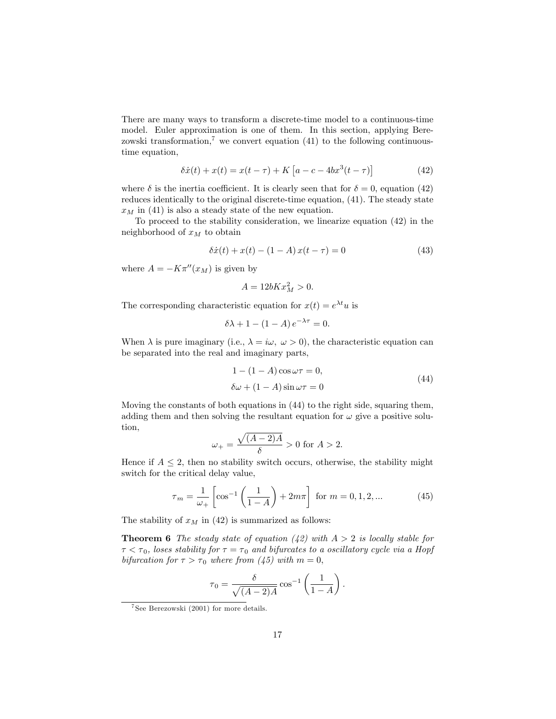There are many ways to transform a discrete-time model to a continuous-time model. Euler approximation is one of them. In this section, applying Berezowski transformation,<sup>7</sup> we convert equation (41) to the following continuoustime equation,

$$
\delta \dot{x}(t) + x(t) = x(t - \tau) + K \left[ a - c - 4bx^3(t - \tau) \right]
$$
 (42)

where  $\delta$  is the inertia coefficient. It is clearly seen that for  $\delta = 0$ , equation (42) reduces identically to the original discrete-time equation, (41). The steady state  $x_M$  in (41) is also a steady state of the new equation.

To proceed to the stability consideration, we linearize equation (42) in the neighborhood of  $x_M$  to obtain

$$
\delta \dot{x}(t) + x(t) - (1 - A)x(t - \tau) = 0 \tag{43}
$$

where  $A = -K\pi''(x_M)$  is given by

$$
A = 12bKx_M^2 > 0.
$$

The corresponding characteristic equation for  $x(t) = e^{\lambda t}u$  is

$$
\delta \lambda + 1 - (1 - A) e^{-\lambda \tau} = 0.
$$

When  $\lambda$  is pure imaginary (i.e.,  $\lambda = i\omega, \ \omega > 0$ ), the characteristic equation can be separated into the real and imaginary parts,

$$
1 - (1 - A)\cos\omega\tau = 0,
$$
  
\n
$$
\delta\omega + (1 - A)\sin\omega\tau = 0
$$
\n(44)

Moving the constants of both equations in (44) to the right side, squaring them, adding them and then solving the resultant equation for  $\omega$  give a positive solution,

$$
\omega_+ = \frac{\sqrt{(A-2)A}}{\delta} > 0
$$
 for  $A > 2$ .

Hence if  $A \leq 2$ , then no stability switch occurs, otherwise, the stability might switch for the critical delay value,

$$
\tau_m = \frac{1}{\omega_+} \left[ \cos^{-1} \left( \frac{1}{1 - A} \right) + 2m\pi \right] \text{ for } m = 0, 1, 2, ... \tag{45}
$$

The stability of  $x_M$  in (42) is summarized as follows:

**Theorem 6** The steady state of equation (42) with  $A > 2$  is locally stable for  $\tau < \tau_0$ , loses stability for  $\tau = \tau_0$  and bifurcates to a oscillatory cycle via a Hopf bifurcation for  $\tau > \tau_0$  where from (45) with  $m = 0$ ,

$$
\tau_0 = \frac{\delta}{\sqrt{(A-2)A}} \cos^{-1} \left(\frac{1}{1-A}\right).
$$

<sup>7</sup> See Berezowski (2001) for more details.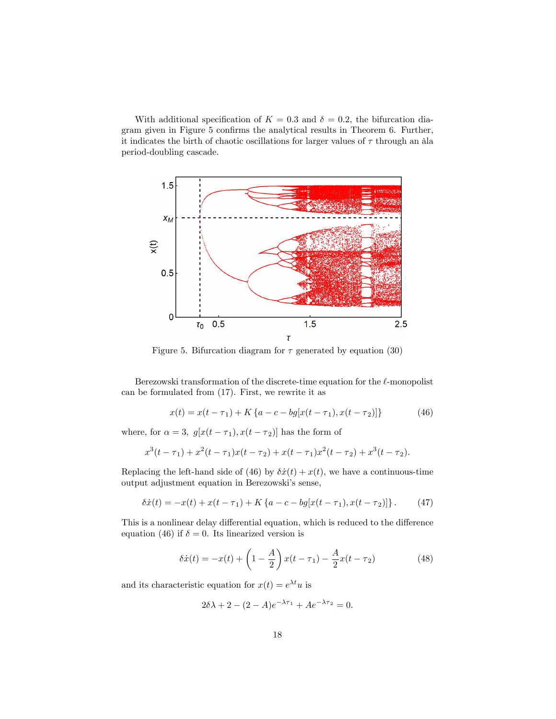With additional specification of  $K = 0.3$  and  $\delta = 0.2$ , the bifurcation diagram given in Figure 5 confirms the analytical results in Theorem 6. Further, it indicates the birth of chaotic oscillations for larger values of  $\tau$  through an àla period-doubling cascade.



Figure 5. Bifurcation diagram for  $\tau$  generated by equation (30)

Berezowski transformation of the discrete-time equation for the  $\ell$ -monopolist can be formulated from (17). First, we rewrite it as

$$
x(t) = x(t - \tau_1) + K\{a - c - bg[x(t - \tau_1), x(t - \tau_2)]\}
$$
 (46)

where, for  $\alpha = 3$ ,  $g[x(t - \tau_1), x(t - \tau_2)]$  has the form of

$$
x^{3}(t-\tau_{1})+x^{2}(t-\tau_{1})x(t-\tau_{2})+x(t-\tau_{1})x^{2}(t-\tau_{2})+x^{3}(t-\tau_{2}).
$$

Replacing the left-hand side of (46) by  $\delta \dot{x}(t) + x(t)$ , we have a continuous-time output adjustment equation in Berezowski's sense,

$$
\delta \dot{x}(t) = -x(t) + x(t - \tau_1) + K \{a - c - bg[x(t - \tau_1), x(t - \tau_2)]\}.
$$
 (47)

This is a nonlinear delay differential equation, which is reduced to the difference equation (46) if  $\delta = 0$ . Its linearized version is

$$
\delta \dot{x}(t) = -x(t) + \left(1 - \frac{A}{2}\right)x(t - \tau_1) - \frac{A}{2}x(t - \tau_2)
$$
 (48)

and its characteristic equation for  $x(t) = e^{\lambda t}u$  is

$$
2\delta\lambda + 2 - (2 - A)e^{-\lambda \tau_1} + Ae^{-\lambda \tau_2} = 0.
$$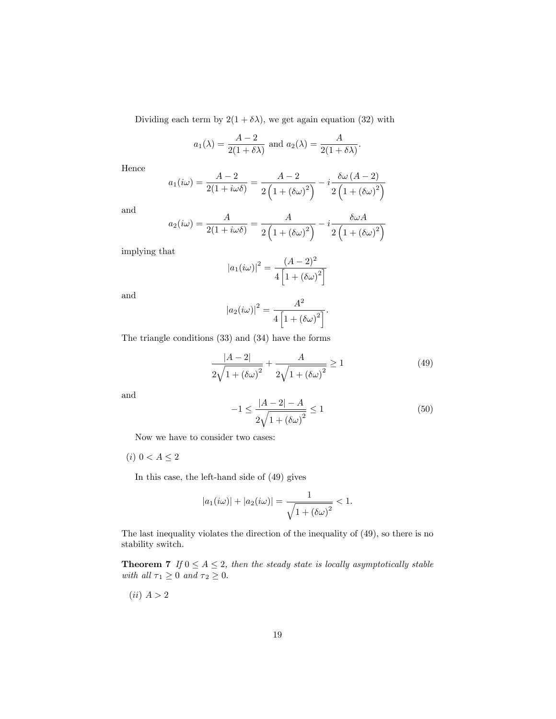Dividing each term by  $2(1 + \delta \lambda)$ , we get again equation (32) with

$$
a_1(\lambda) = \frac{A-2}{2(1+\delta\lambda)}
$$
 and  $a_2(\lambda) = \frac{A}{2(1+\delta\lambda)}$ .

Hence

$$
a_1(i\omega) = \frac{A-2}{2(1+i\omega\delta)} = \frac{A-2}{2\left(1+\left(\delta\omega\right)^2\right)} - i\frac{\delta\omega\left(A-2\right)}{2\left(1+\left(\delta\omega\right)^2\right)}
$$

and

$$
a_2(i\omega) = \frac{A}{2(1+i\omega\delta)} = \frac{A}{2\left(1 + (\delta\omega)^2\right)} - i\frac{\delta\omega A}{2\left(1 + (\delta\omega)^2\right)}
$$

implying that

$$
|a_1(i\omega)|^2 = \frac{(A-2)^2}{4\left[1 + (\delta\omega)^2\right]}
$$

and

$$
|a_2(i\omega)|^2 = \frac{A^2}{4\left[1 + (\delta\omega)^2\right]}.
$$

The triangle conditions (33) and (34) have the forms

$$
\frac{|A-2|}{2\sqrt{1 + (\delta\omega)^2}} + \frac{A}{2\sqrt{1 + (\delta\omega)^2}} \ge 1
$$
\n(49)

and

$$
-1 \le \frac{|A-2| - A}{2\sqrt{1 + (\delta\omega)^2}} \le 1\tag{50}
$$

Now we have to consider two cases:

(*i*)  $0 < A \leq 2$ 

In this case, the left-hand side of (49) gives

$$
|a_1(i\omega)| + |a_2(i\omega)| = \frac{1}{\sqrt{1 + (\delta\omega)^2}} < 1.
$$

The last inequality violates the direction of the inequality of (49), so there is no stability switch.

**Theorem 7** If  $0 \leq A \leq 2$ , then the steady state is locally asymptotically stable with all  $\tau_1 \geq 0$  and  $\tau_2 \geq 0$ .

 $(ii)$   $A > 2$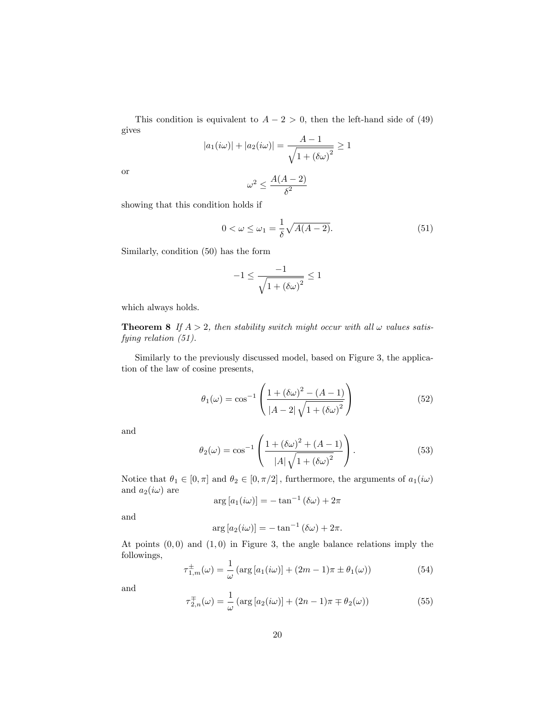This condition is equivalent to  $A - 2 > 0$ , then the left-hand side of (49) gives

$$
|a_1(i\omega)| + |a_2(i\omega)| = \frac{A-1}{\sqrt{1 + (\delta\omega)^2}} \ge 1
$$

or

$$
\omega^2 \leq \frac{A(A-2)}{\delta^2}
$$

showing that this condition holds if

$$
0 < \omega \le \omega_1 = \frac{1}{\delta} \sqrt{A(A-2)}.\tag{51}
$$

Similarly, condition (50) has the form

$$
-1 \le \frac{-1}{\sqrt{1 + \left(\delta \omega\right)^2}} \le 1
$$

which always holds.

**Theorem 8** If  $A > 2$ , then stability switch might occur with all  $\omega$  values satisfying relation (51).

Similarly to the previously discussed model, based on Figure 3, the application of the law of cosine presents,

$$
\theta_1(\omega) = \cos^{-1}\left(\frac{1 + (\delta\omega)^2 - (A - 1)}{|A - 2|\sqrt{1 + (\delta\omega)^2}}\right)
$$
(52)

and

$$
\theta_2(\omega) = \cos^{-1}\left(\frac{1 + (\delta\omega)^2 + (A - 1)}{|A|\sqrt{1 + (\delta\omega)^2}}\right).
$$
\n(53)

Notice that  $\theta_1 \in [0, \pi]$  and  $\theta_2 \in [0, \pi/2]$ , furthermore, the arguments of  $a_1(i\omega)$ and  $a_2(i\omega)$  are

$$
\arg [a_1(i\omega)] = -\tan^{-1}(\delta\omega) + 2\pi
$$

and

$$
\arg [a_2(i\omega)] = -\tan^{-1}(\delta\omega) + 2\pi.
$$

At points  $(0,0)$  and  $(1,0)$  in Figure 3, the angle balance relations imply the followings,

$$
\tau_{1,m}^{\pm}(\omega) = \frac{1}{\omega} \left( \arg \left[ a_1(i\omega) \right] + (2m - 1)\pi \pm \theta_1(\omega) \right) \tag{54}
$$

and

$$
\tau_{2,n}^{\mp}(\omega) = \frac{1}{\omega} \left( \arg \left[ a_2(i\omega) \right] + (2n - 1)\pi \mp \theta_2(\omega) \right) \tag{55}
$$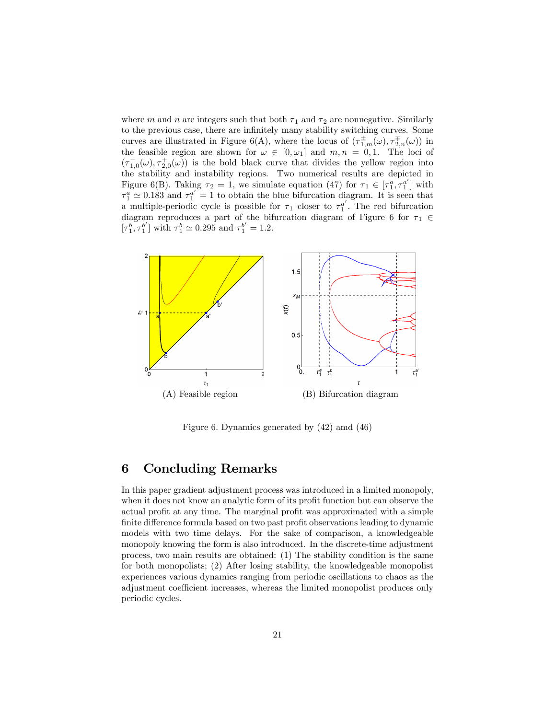where m and n are integers such that both  $\tau_1$  and  $\tau_2$  are nonnegative. Similarly to the previous case, there are infinitely many stability switching curves. Some curves are illustrated in Figure 6(A), where the locus of  $(\tau_{1,m}^{\pm}(\omega), \tau_{2,n}^{\mp}(\omega))$  in the feasible region are shown for  $\omega \in [0, \omega_1]$  and  $m, n = 0, 1$ . The loci of  $(\tau_{1,0}(\omega), \tau_{2,0}^+(\omega))$  is the bold black curve that divides the yellow region into the stability and instability regions. Two numerical results are depicted in Figure 6(B). Taking  $\tau_2 = 1$ , we simulate equation (47) for  $\tau_1 \in [\tau_1^a, \tau_1^{a'}]$  with  $\tau_1^a \simeq 0.183$  and  $\tau_1^{a'} = 1$  to obtain the blue bifurcation diagram. It is seen that a multiple-periodic cycle is possible for  $\tau_1$  closer to  $\tau_1^{a'}$ . The red bifurcation diagram reproduces a part of the bifurcation diagram of Figure 6 for  $\tau_1 \in$  $[\tau_1^b, \tau_1^{b'}]$  with  $\tau_1^b \simeq 0.295$  and  $\tau_1^{b'} = 1.2$ .



Figure 6. Dynamics generated by (42) amd (46)

### 6 Concluding Remarks

In this paper gradient adjustment process was introduced in a limited monopoly, when it does not know an analytic form of its profit function but can observe the actual profit at any time. The marginal profit was approximated with a simple finite difference formula based on two past profit observations leading to dynamic models with two time delays. For the sake of comparison, a knowledgeable monopoly knowing the form is also introduced. In the discrete-time adjustment process, two main results are obtained: (1) The stability condition is the same for both monopolists; (2) After losing stability, the knowledgeable monopolist experiences various dynamics ranging from periodic oscillations to chaos as the adjustment coefficient increases, whereas the limited monopolist produces only periodic cycles.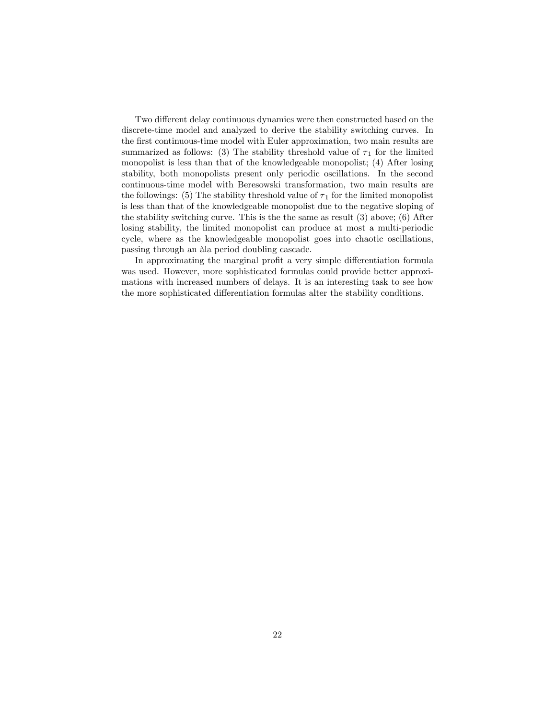Two different delay continuous dynamics were then constructed based on the discrete-time model and analyzed to derive the stability switching curves. In the Örst continuous-time model with Euler approximation, two main results are summarized as follows: (3) The stability threshold value of  $\tau_1$  for the limited monopolist is less than that of the knowledgeable monopolist; (4) After losing stability, both monopolists present only periodic oscillations. In the second continuous-time model with Beresowski transformation, two main results are the followings: (5) The stability threshold value of  $\tau_1$  for the limited monopolist is less than that of the knowledgeable monopolist due to the negative sloping of the stability switching curve. This is the the same as result (3) above; (6) After losing stability, the limited monopolist can produce at most a multi-periodic cycle, where as the knowledgeable monopolist goes into chaotic oscillations, passing through an àla period doubling cascade.

In approximating the marginal profit a very simple differentiation formula was used. However, more sophisticated formulas could provide better approximations with increased numbers of delays. It is an interesting task to see how the more sophisticated differentiation formulas alter the stability conditions.